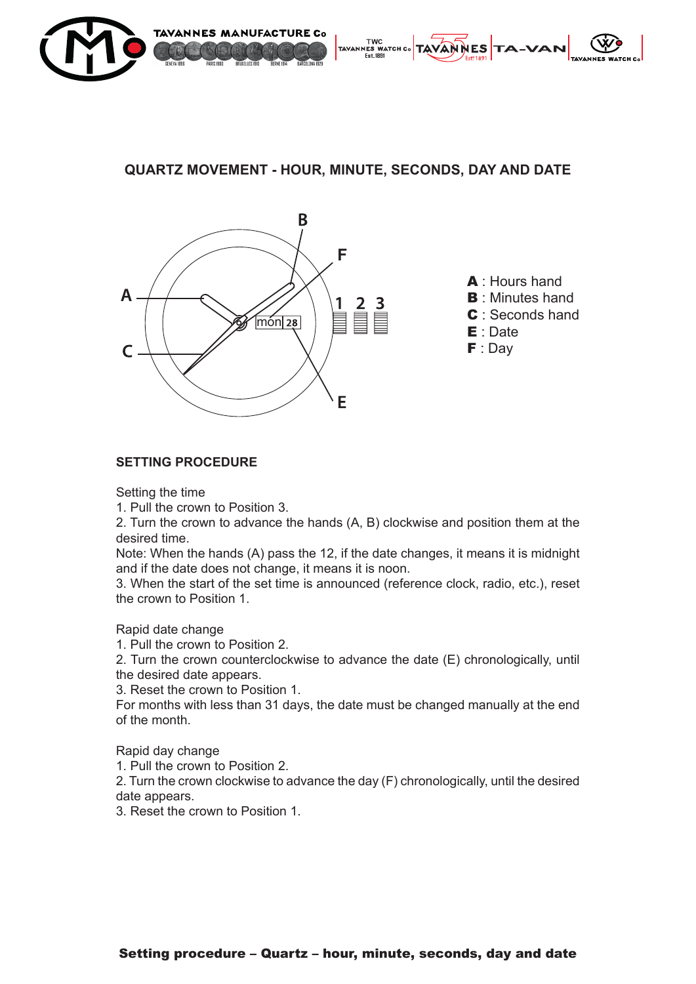

## **QUARTZ MOVEMENT - HOUR, MINUTE, SECONDS, DAY AND DATE**



## **SETTING PROCEDURE**

Setting the time

1. Pull the crown to Position 3.

2. Turn the crown to advance the hands (A, B) clockwise and position them at the desired time.

Note: When the hands (A) pass the 12, if the date changes, it means it is midnight and if the date does not change, it means it is noon.

3. When the start of the set time is announced (reference clock, radio, etc.), reset the crown to Position 1.

Rapid date change

1. Pull the crown to Position 2.

2. Turn the crown counterclockwise to advance the date (E) chronologically, until the desired date appears.

3. Reset the crown to Position 1.

For months with less than 31 days, the date must be changed manually at the end of the month.

Rapid day change

1. Pull the crown to Position 2.

2. Turn the crown clockwise to advance the day (F) chronologically, until the desired date appears.

3. Reset the crown to Position 1.